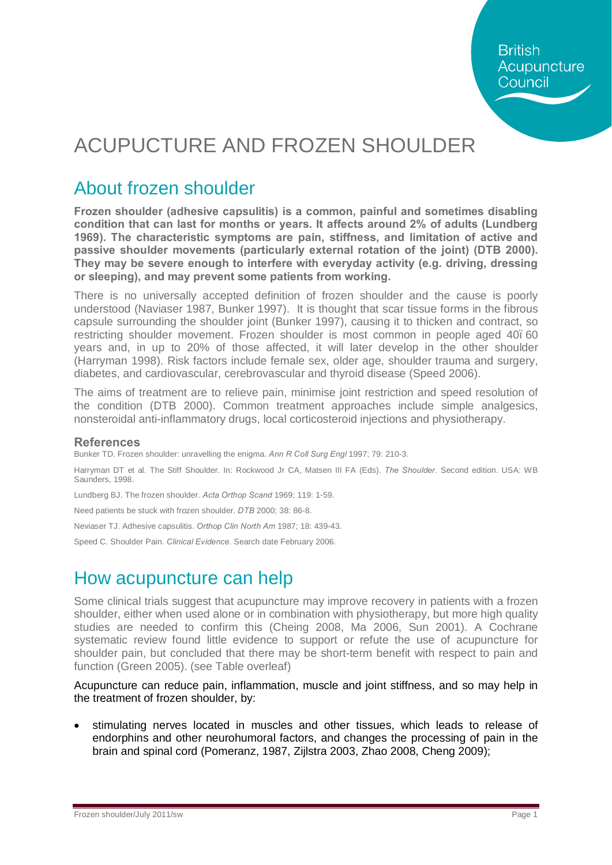# ACUPUCTURE AND FROZEN SHOULDER

## About frozen shoulder

**Frozen shoulder (adhesive capsulitis) is a common, painful and sometimes disabling condition that can last for months or years. It affects around 2% of adults (Lundberg 1969). The characteristic symptoms are pain, stiffness, and limitation of active and passive shoulder movements (particularly external rotation of the joint) (DTB 2000). They may be severe enough to interfere with everyday activity (e.g. driving, dressing or sleeping), and may prevent some patients from working.** 

There is no universally accepted definition of frozen shoulder and the cause is poorly understood (Naviaser 1987, Bunker 1997). It is thought that scar tissue forms in the fibrous capsule surrounding the shoulder joint (Bunker 1997), causing it to thicken and contract, so restricting shoulder movement. Frozen shoulder is most common in people aged 40, 60 years and, in up to 20% of those affected, it will later develop in the other shoulder (Harryman 1998). Risk factors include female sex, older age, shoulder trauma and surgery, diabetes, and cardiovascular, cerebrovascular and thyroid disease (Speed 2006).

The aims of treatment are to relieve pain, minimise joint restriction and speed resolution of the condition (DTB 2000). Common treatment approaches include simple analgesics, nonsteroidal anti-inflammatory drugs, local corticosteroid injections and physiotherapy.

### **References**

Bunker TD. Frozen shoulder: unravelling the enigma. *Ann R Coll Surg Engl* 1997; 79: 210-3.

Harryman DT et al. The Stiff Shoulder. In: Rockwood Jr CA, Matsen III FA (Eds). *The Shoulder.* Second edition. USA: WB Saunders, 1998.

Lundberg BJ. The frozen shoulder. *Acta Orthop Scand* 1969; 119: 1-59.

Need patients be stuck with frozen shoulder. *DTB* 2000; 38: 86-8.

Neviaser TJ. Adhesive capsulitis. *Orthop Clin North Am* 1987; 18: 439-43.

Speed C. Shoulder Pain. *Clinical Evidence*. Search date February 2006.

## How acupuncture can help

Some clinical trials suggest that acupuncture may improve recovery in patients with a frozen shoulder, either when used alone or in combination with physiotherapy, but more high quality studies are needed to confirm this (Cheing 2008, Ma 2006, Sun 2001). A Cochrane systematic review found little evidence to support or refute the use of acupuncture for shoulder pain, but concluded that there may be short-term benefit with respect to pain and function (Green 2005). (see Table overleaf)

Acupuncture can reduce pain, inflammation, muscle and joint stiffness, and so may help in the treatment of frozen shoulder, by:

stimulating nerves located in muscles and other tissues, which leads to release of endorphins and other neurohumoral factors, and changes the processing of pain in the brain and spinal cord (Pomeranz, 1987, Zijlstra 2003, Zhao 2008, Cheng 2009);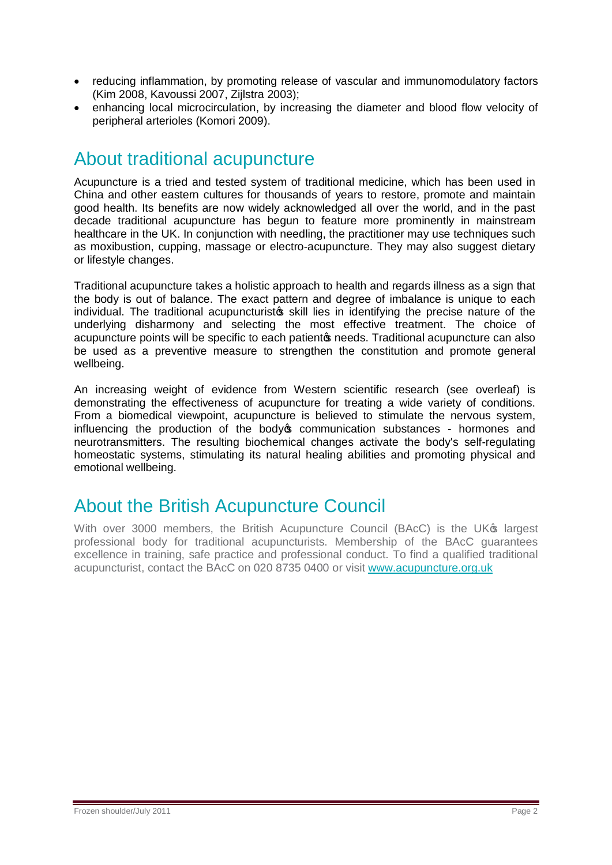- · reducing inflammation, by promoting release of vascular and immunomodulatory factors (Kim 2008, Kavoussi 2007, Zijlstra 2003);
- · enhancing local microcirculation, by increasing the diameter and blood flow velocity of peripheral arterioles (Komori 2009).

## About traditional acupuncture

Acupuncture is a tried and tested system of traditional medicine, which has been used in China and other eastern cultures for thousands of years to restore, promote and maintain good health. Its benefits are now widely acknowledged all over the world, and in the past decade traditional acupuncture has begun to feature more prominently in mainstream healthcare in the UK. In conjunction with needling, the practitioner may use techniques such as moxibustion, cupping, massage or electro-acupuncture. They may also suggest dietary or lifestyle changes.

Traditional acupuncture takes a holistic approach to health and regards illness as a sign that the body is out of balance. The exact pattern and degree of imbalance is unique to each individual. The traditional acupuncturisto skill lies in identifying the precise nature of the underlying disharmony and selecting the most effective treatment. The choice of acupuncture points will be specific to each patient op needs. Traditional acupuncture can also be used as a preventive measure to strengthen the constitution and promote general wellbeing.

An increasing weight of evidence from Western scientific research (see overleaf) is demonstrating the effectiveness of acupuncture for treating a wide variety of conditions. From a biomedical viewpoint, acupuncture is believed to stimulate the nervous system, influencing the production of the body to communication substances - hormones and neurotransmitters. The resulting biochemical changes activate the body's self-regulating homeostatic systems, stimulating its natural healing abilities and promoting physical and emotional wellbeing.

## About the British Acupuncture Council

With over 3000 members, the British Acupuncture Council (BAcC) is the UK<sup>®</sup> largest professional body for traditional acupuncturists. Membership of the BAcC guarantees excellence in training, safe practice and professional conduct. To find a qualified traditional acupuncturist, contact the BAcC on 020 8735 0400 or visit [www.acupuncture.org.uk](http://www.acupuncture.org.uk/)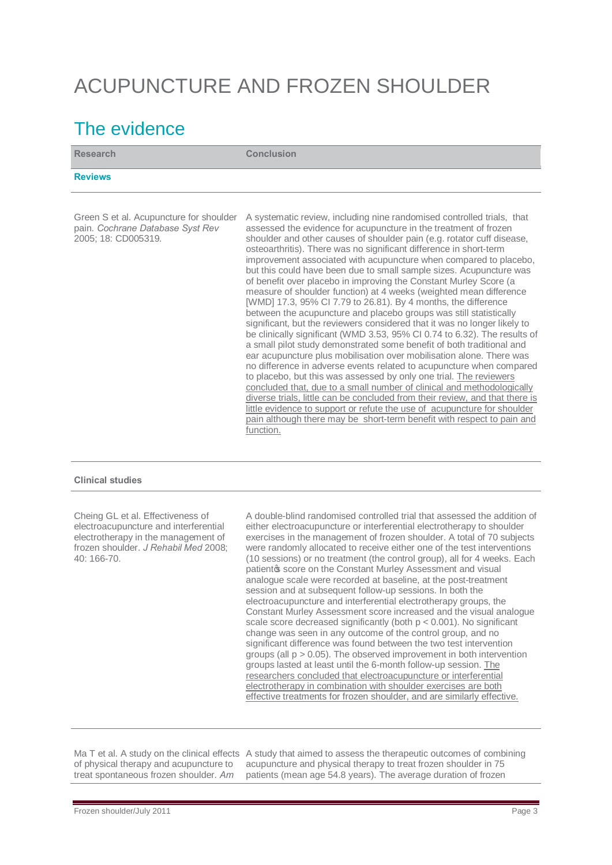# ACUPUNCTURE AND FROZEN SHOULDER

## The evidence

| Research       | <b>Conclusion</b> |
|----------------|-------------------|
| <b>Reviews</b> |                   |

Green S et al. Acupuncture for shoulder pain. *Cochrane Database Syst Rev* 2005; 18: CD005319.

A systematic review, including nine randomised controlled trials, that assessed the evidence for acupuncture in the treatment of frozen shoulder and other causes of shoulder pain (e.g. rotator cuff disease, osteoarthritis). There was no significant difference in short-term improvement associated with acupuncture when compared to placebo, but this could have been due to small sample sizes. Acupuncture was of benefit over placebo in improving the Constant Murley Score (a measure of shoulder function) at 4 weeks (weighted mean difference [WMD] 17.3, 95% CI 7.79 to 26.81). By 4 months, the difference between the acupuncture and placebo groups was still statistically significant, but the reviewers considered that it was no longer likely to be clinically significant (WMD 3.53, 95% CI 0.74 to 6.32). The results of a small pilot study demonstrated some benefit of both traditional and ear acupuncture plus mobilisation over mobilisation alone. There was no difference in adverse events related to acupuncture when compared to placebo, but this was assessed by only one trial. The reviewers concluded that, due to a small number of clinical and methodologically diverse trials, little can be concluded from their review, and that there is little evidence to support or refute the use of acupuncture for shoulder pain although there may be short-term benefit with respect to pain and function.

#### **Clinical studies**

Cheing GL et al. Effectiveness of electroacupuncture and interferential electrotherapy in the management of frozen shoulder. *J Rehabil Med* 2008; 40: 166-70.

A double-blind randomised controlled trial that assessed the addition of either electroacupuncture or interferential electrotherapy to shoulder exercises in the management of frozen shoulder. A total of 70 subjects were randomly allocated to receive either one of the test interventions (10 sessions) or no treatment (the control group), all for 4 weeks. Each patient is score on the Constant Murley Assessment and visual analogue scale were recorded at baseline, at the post-treatment session and at subsequent follow-up sessions. In both the electroacupuncture and interferential electrotherapy groups, the Constant Murley Assessment score increased and the visual analogue scale score decreased significantly (both p < 0.001). No significant change was seen in any outcome of the control group, and no significant difference was found between the two test intervention groups (all  $p > 0.05$ ). The observed improvement in both intervention groups lasted at least until the 6-month follow-up session. The researchers concluded that electroacupuncture or interferential electrotherapy in combination with shoulder exercises are both effective treatments for frozen shoulder, and are similarly effective.

of physical therapy and acupuncture to treat spontaneous frozen shoulder. *Am* 

Ma T et al. A study on the clinical effects A study that aimed to assess the therapeutic outcomes of combining acupuncture and physical therapy to treat frozen shoulder in 75 patients (mean age 54.8 years). The average duration of frozen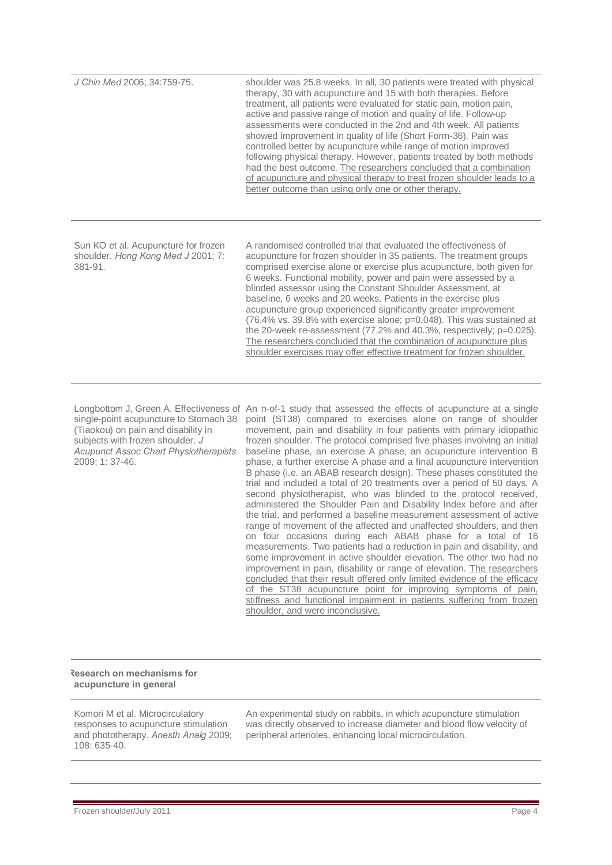| J Chin Med 2006; 34:759-75.                                                           | shoulder was 25.8 weeks. In all, 30 patients were treated with physical<br>therapy, 30 with acupuncture and 15 with both therapies. Before<br>treatment, all patients were evaluated for static pain, motion pain,<br>active and passive range of motion and quality of life. Follow-up<br>assessments were conducted in the 2nd and 4th week. All patients<br>showed improvement in quality of life (Short Form-36). Pain was<br>controlled better by acupuncture while range of motion improved<br>following physical therapy. However, patients treated by both methods<br>had the best outcome. The researchers concluded that a combination<br>of acupuncture and physical therapy to treat frozen shoulder leads to a<br>better outcome than using only one or other therapy.     |
|---------------------------------------------------------------------------------------|-----------------------------------------------------------------------------------------------------------------------------------------------------------------------------------------------------------------------------------------------------------------------------------------------------------------------------------------------------------------------------------------------------------------------------------------------------------------------------------------------------------------------------------------------------------------------------------------------------------------------------------------------------------------------------------------------------------------------------------------------------------------------------------------|
| Sun KO et al. Acupuncture for frozen<br>shoulder. Hong Kong Med J 2001; 7:<br>381-91. | A randomised controlled trial that evaluated the effectiveness of<br>acupuncture for frozen shoulder in 35 patients. The treatment groups<br>comprised exercise alone or exercise plus acupuncture, both given for<br>6 weeks. Functional mobility, power and pain were assessed by a<br>blinded assessor using the Constant Shoulder Assessment, at<br>baseline, 6 weeks and 20 weeks. Patients in the exercise plus<br>acupuncture group experienced significantly greater improvement<br>(76.4% vs. 39.8% with exercise alone; p=0.048). This was sustained at<br>the 20-week re-assessment (77.2% and 40.3%, respectively; p=0.025).<br>The researchers concluded that the combination of acupuncture plus<br>shoulder exercises may offer effective treatment for frozen shoulder. |
|                                                                                       | Longbottom J, Green A. Effectiveness of An n-of-1 study that assessed the effects of acupuncture at a single<br>single-point acupuncture to Stomach 38 point (ST38) compared to exercises alone on range of shoulder                                                                                                                                                                                                                                                                                                                                                                                                                                                                                                                                                                    |

(Tiaokou) on pain and disability in subjects with frozen shoulder. *J Acupunct Assoc Chart Physiotherapists* 2009; 1: 37-46.

movement, pain and disability in four patients with primary idiopathic frozen shoulder. The protocol comprised five phases involving an initial baseline phase, an exercise A phase, an acupuncture intervention B phase, a further exercise A phase and a final acupuncture intervention B phase (i.e. an ABAB research design). These phases constituted the trial and included a total of 20 treatments over a period of 50 days. A second physiotherapist, who was blinded to the protocol received, administered the Shoulder Pain and Disability Index before and after the trial, and performed a baseline measurement assessment of active range of movement of the affected and unaffected shoulders, and then on four occasions during each ABAB phase for a total of 16 measurements. Two patients had a reduction in pain and disability, and some improvement in active shoulder elevation. The other two had no improvement in pain, disability or range of elevation. The researchers concluded that their result offered only limited evidence of the efficacy of the ST38 acupuncture point for improving symptoms of pain, stiffness and functional impairment in patients suffering from frozen shoulder, and were inconclusive.

#### **Research on mechanisms for acupuncture in general**

Komori M et al. Microcirculatory responses to acupuncture stimulation and phototherapy. *Anesth Analg* 2009; 108: 635-40.

An experimental study on rabbits, in which acupuncture stimulation was directly observed to increase diameter and blood flow velocity of peripheral arterioles, enhancing local microcirculation.